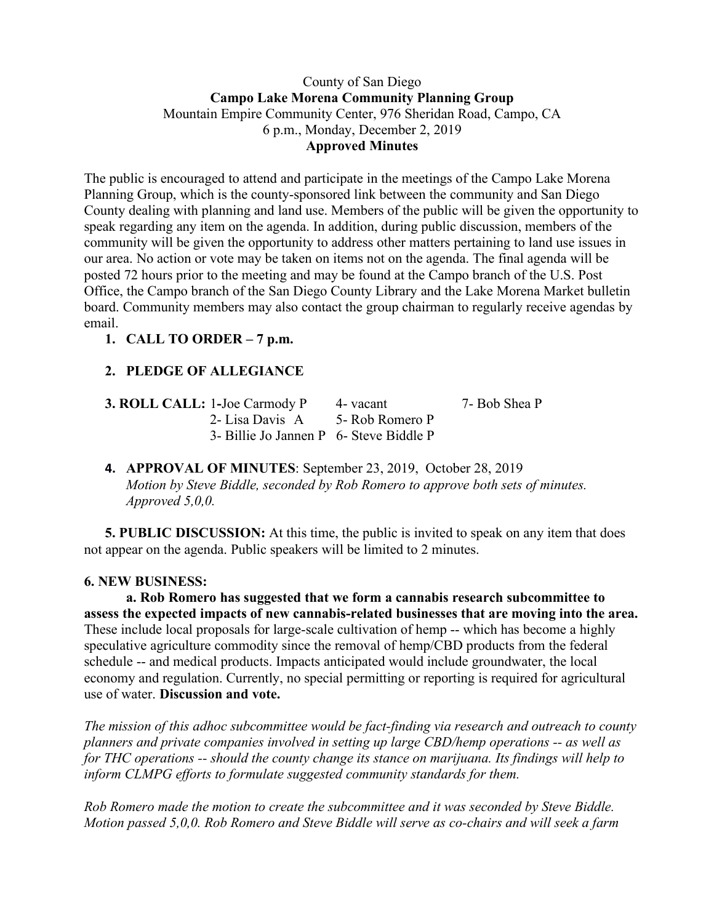### County of San Diego **Campo Lake Morena Community Planning Group** Mountain Empire Community Center, 976 Sheridan Road, Campo, CA 6 p.m., Monday, December 2, 2019 **Approved Minutes**

The public is encouraged to attend and participate in the meetings of the Campo Lake Morena Planning Group, which is the county-sponsored link between the community and San Diego County dealing with planning and land use. Members of the public will be given the opportunity to speak regarding any item on the agenda. In addition, during public discussion, members of the community will be given the opportunity to address other matters pertaining to land use issues in our area. No action or vote may be taken on items not on the agenda. The final agenda will be posted 72 hours prior to the meeting and may be found at the Campo branch of the U.S. Post Office, the Campo branch of the San Diego County Library and the Lake Morena Market bulletin board. Community members may also contact the group chairman to regularly receive agendas by email.

# **1. CALL TO ORDER – 7 p.m.**

# **2. PLEDGE OF ALLEGIANCE**

| <b>3. ROLL CALL: 1-Joe Carmody P</b>    | 4 - vacant | 7- Bob Shea P |
|-----------------------------------------|------------|---------------|
| 2- Lisa Davis A 5- Rob Romero P         |            |               |
| 3- Billie Jo Jannen P 6- Steve Biddle P |            |               |

**4. APPROVAL OF MINUTES**: September 23, 2019, October 28, 2019 *Motion by Steve Biddle, seconded by Rob Romero to approve both sets of minutes. Approved 5,0,0.*

**5. PUBLIC DISCUSSION:** At this time, the public is invited to speak on any item that does not appear on the agenda. Public speakers will be limited to 2 minutes.

#### **6. NEW BUSINESS:**

**a. Rob Romero has suggested that we form a cannabis research subcommittee to assess the expected impacts of new cannabis-related businesses that are moving into the area.** These include local proposals for large-scale cultivation of hemp -- which has become a highly speculative agriculture commodity since the removal of hemp/CBD products from the federal schedule -- and medical products. Impacts anticipated would include groundwater, the local economy and regulation. Currently, no special permitting or reporting is required for agricultural use of water. **Discussion and vote.**

*The mission of this adhoc subcommittee would be fact-finding via research and outreach to county planners and private companies involved in setting up large CBD/hemp operations -- as well as for THC operations -- should the county change its stance on marijuana. Its findings will help to inform CLMPG efforts to formulate suggested community standards for them.*

*Rob Romero made the motion to create the subcommittee and it was seconded by Steve Biddle. Motion passed 5,0,0. Rob Romero and Steve Biddle will serve as co-chairs and will seek a farm*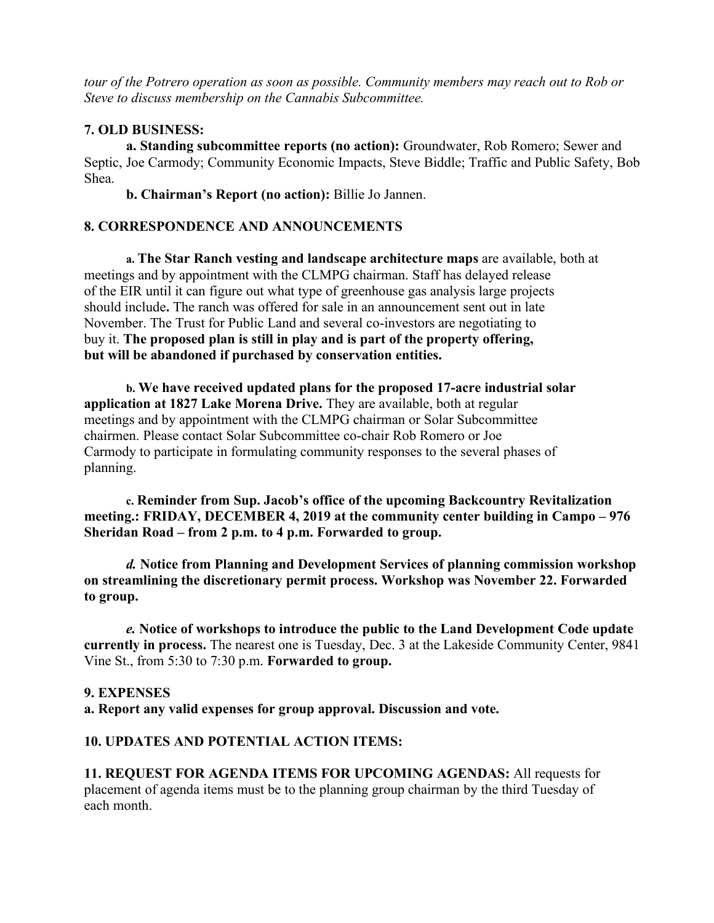*tour of the Potrero operation as soon as possible. Community members may reach out to Rob or Steve to discuss membership on the Cannabis Subcommittee.*

### **7. OLD BUSINESS:**

**a. Standing subcommittee reports (no action):** Groundwater, Rob Romero; Sewer and Septic, Joe Carmody; Community Economic Impacts, Steve Biddle; Traffic and Public Safety, Bob Shea.

**b. Chairman's Report (no action):** Billie Jo Jannen.

# **8. CORRESPONDENCE AND ANNOUNCEMENTS**

**a. The Star Ranch vesting and landscape architecture maps** are available, both at meetings and by appointment with the CLMPG chairman. Staff has delayed release of the EIR until it can figure out what type of greenhouse gas analysis large projects should include**.** The ranch was offered for sale in an announcement sent out in late November. The Trust for Public Land and several co-investors are negotiating to buy it. **The proposed plan is still in play and is part of the property offering, but will be abandoned if purchased by conservation entities.**

**b. We have received updated plans for the proposed 17-acre industrial solar application at 1827 Lake Morena Drive.** They are available, both at regular meetings and by appointment with the CLMPG chairman or Solar Subcommittee chairmen. Please contact Solar Subcommittee co-chair Rob Romero or Joe Carmody to participate in formulating community responses to the several phases of planning.

**c. Reminder from Sup. Jacob's office of the upcoming Backcountry Revitalization meeting.: FRIDAY, DECEMBER 4, 2019 at the community center building in Campo – 976 Sheridan Road – from 2 p.m. to 4 p.m. Forwarded to group.**

*d.* **Notice from Planning and Development Services of planning commission workshop on streamlining the discretionary permit process. Workshop was November 22. Forwarded to group.**

*e.* **Notice of workshops to introduce the public to the Land Development Code update currently in process.** The nearest one is Tuesday, Dec. 3 at the Lakeside Community Center, 9841 Vine St., from 5:30 to 7:30 p.m. **Forwarded to group.**

#### **9. EXPENSES**

**a. Report any valid expenses for group approval. Discussion and vote.**

# **10. UPDATES AND POTENTIAL ACTION ITEMS:**

**11. REQUEST FOR AGENDA ITEMS FOR UPCOMING AGENDAS:** All requests for placement of agenda items must be to the planning group chairman by the third Tuesday of each month.